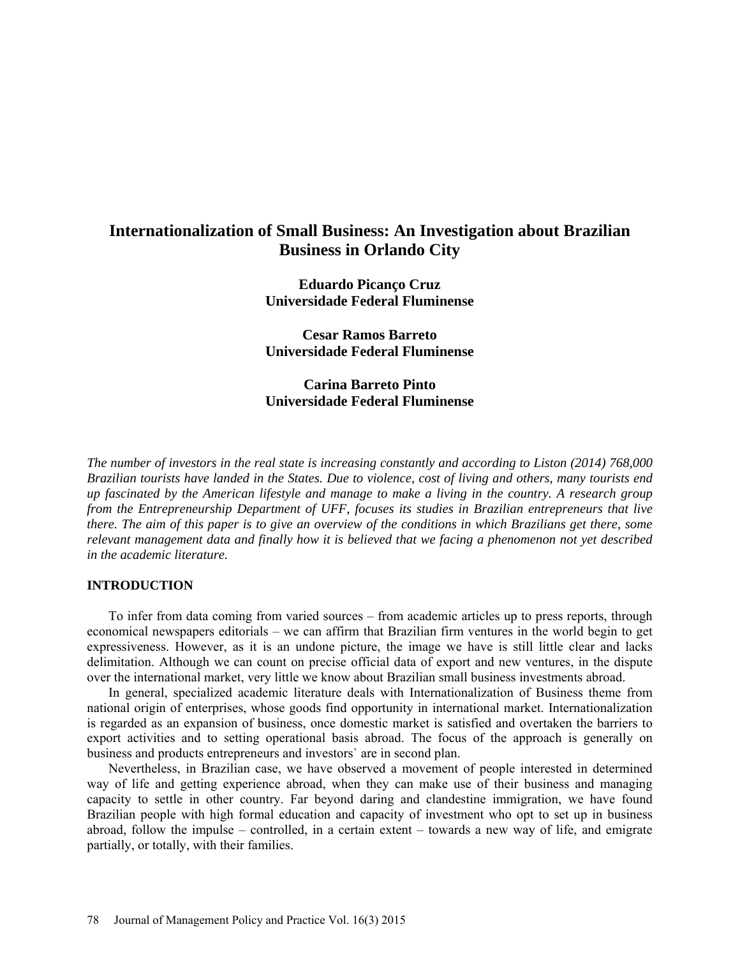# **Internationalization of Small Business: An Investigation about Brazilian Business in Orlando City**

**Eduardo Picanço Cruz Universidade Federal Fluminense**

**Cesar Ramos Barreto Universidade Federal Fluminense**

**Carina Barreto Pinto Universidade Federal Fluminense**

*The number of investors in the real state is increasing constantly and according to Liston (2014) 768,000 Brazilian tourists have landed in the States. Due to violence, cost of living and others, many tourists end up fascinated by the American lifestyle and manage to make a living in the country. A research group from the Entrepreneurship Department of UFF, focuses its studies in Brazilian entrepreneurs that live there. The aim of this paper is to give an overview of the conditions in which Brazilians get there, some relevant management data and finally how it is believed that we facing a phenomenon not yet described in the academic literature.*

### **INTRODUCTION**

To infer from data coming from varied sources – from academic articles up to press reports, through economical newspapers editorials – we can affirm that Brazilian firm ventures in the world begin to get expressiveness. However, as it is an undone picture, the image we have is still little clear and lacks delimitation. Although we can count on precise official data of export and new ventures, in the dispute over the international market, very little we know about Brazilian small business investments abroad.

In general, specialized academic literature deals with Internationalization of Business theme from national origin of enterprises, whose goods find opportunity in international market. Internationalization is regarded as an expansion of business, once domestic market is satisfied and overtaken the barriers to export activities and to setting operational basis abroad. The focus of the approach is generally on business and products entrepreneurs and investors` are in second plan.

Nevertheless, in Brazilian case, we have observed a movement of people interested in determined way of life and getting experience abroad, when they can make use of their business and managing capacity to settle in other country. Far beyond daring and clandestine immigration, we have found Brazilian people with high formal education and capacity of investment who opt to set up in business abroad, follow the impulse – controlled, in a certain extent – towards a new way of life, and emigrate partially, or totally, with their families.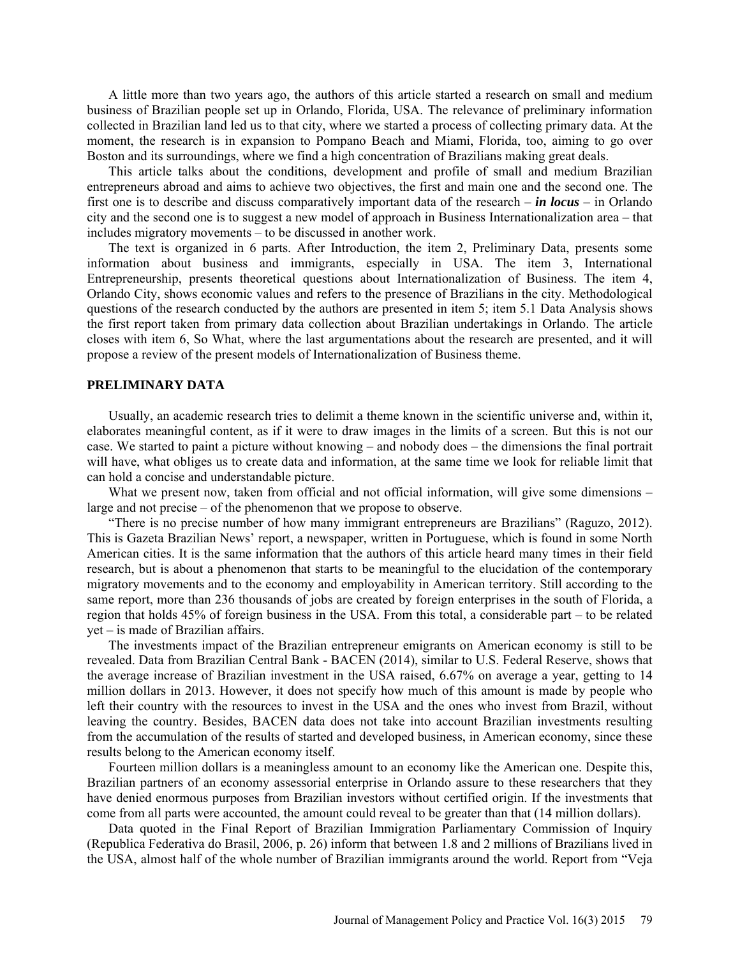A little more than two years ago, the authors of this article started a research on small and medium business of Brazilian people set up in Orlando, Florida, USA. The relevance of preliminary information collected in Brazilian land led us to that city, where we started a process of collecting primary data. At the moment, the research is in expansion to Pompano Beach and Miami, Florida, too, aiming to go over Boston and its surroundings, where we find a high concentration of Brazilians making great deals.

This article talks about the conditions, development and profile of small and medium Brazilian entrepreneurs abroad and aims to achieve two objectives, the first and main one and the second one. The first one is to describe and discuss comparatively important data of the research – *in locus* – in Orlando city and the second one is to suggest a new model of approach in Business Internationalization area – that includes migratory movements – to be discussed in another work.

The text is organized in 6 parts. After Introduction, the item 2, Preliminary Data, presents some information about business and immigrants, especially in USA. The item 3, International Entrepreneurship, presents theoretical questions about Internationalization of Business. The item 4, Orlando City, shows economic values and refers to the presence of Brazilians in the city. Methodological questions of the research conducted by the authors are presented in item 5; item 5.1 Data Analysis shows the first report taken from primary data collection about Brazilian undertakings in Orlando. The article closes with item 6, So What, where the last argumentations about the research are presented, and it will propose a review of the present models of Internationalization of Business theme.

### **PRELIMINARY DATA**

Usually, an academic research tries to delimit a theme known in the scientific universe and, within it, elaborates meaningful content, as if it were to draw images in the limits of a screen. But this is not our case. We started to paint a picture without knowing – and nobody does – the dimensions the final portrait will have, what obliges us to create data and information, at the same time we look for reliable limit that can hold a concise and understandable picture.

What we present now, taken from official and not official information, will give some dimensions – large and not precise – of the phenomenon that we propose to observe.

"There is no precise number of how many immigrant entrepreneurs are Brazilians" (Raguzo, 2012). This is Gazeta Brazilian News' report, a newspaper, written in Portuguese, which is found in some North American cities. It is the same information that the authors of this article heard many times in their field research, but is about a phenomenon that starts to be meaningful to the elucidation of the contemporary migratory movements and to the economy and employability in American territory. Still according to the same report, more than 236 thousands of jobs are created by foreign enterprises in the south of Florida, a region that holds 45% of foreign business in the USA. From this total, a considerable part – to be related yet – is made of Brazilian affairs.

The investments impact of the Brazilian entrepreneur emigrants on American economy is still to be revealed. Data from Brazilian Central Bank - BACEN (2014), similar to U.S. Federal Reserve, shows that the average increase of Brazilian investment in the USA raised, 6.67% on average a year, getting to 14 million dollars in 2013. However, it does not specify how much of this amount is made by people who left their country with the resources to invest in the USA and the ones who invest from Brazil, without leaving the country. Besides, BACEN data does not take into account Brazilian investments resulting from the accumulation of the results of started and developed business, in American economy, since these results belong to the American economy itself.

Fourteen million dollars is a meaningless amount to an economy like the American one. Despite this, Brazilian partners of an economy assessorial enterprise in Orlando assure to these researchers that they have denied enormous purposes from Brazilian investors without certified origin. If the investments that come from all parts were accounted, the amount could reveal to be greater than that (14 million dollars).

Data quoted in the Final Report of Brazilian Immigration Parliamentary Commission of Inquiry (Republica Federativa do Brasil, 2006, p. 26) inform that between 1.8 and 2 millions of Brazilians lived in the USA, almost half of the whole number of Brazilian immigrants around the world. Report from "Veja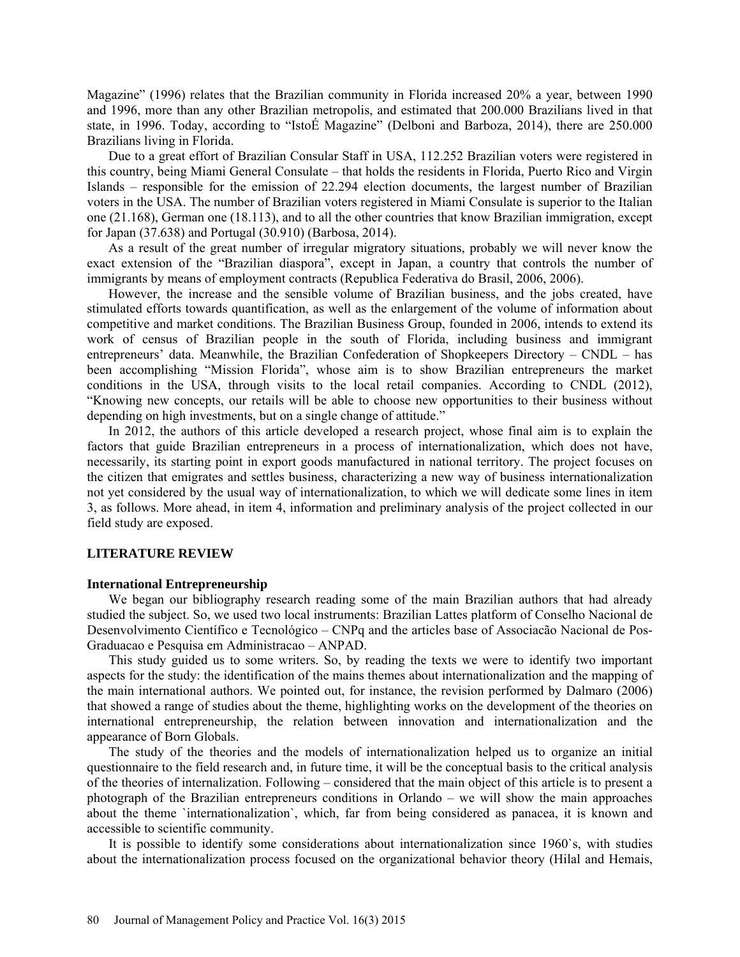Magazine" (1996) relates that the Brazilian community in Florida increased 20% a year, between 1990 and 1996, more than any other Brazilian metropolis, and estimated that 200.000 Brazilians lived in that state, in 1996. Today, according to "IstoÉ Magazine" (Delboni and Barboza, 2014), there are 250.000 Brazilians living in Florida.

Due to a great effort of Brazilian Consular Staff in USA, 112.252 Brazilian voters were registered in this country, being Miami General Consulate – that holds the residents in Florida, Puerto Rico and Virgin Islands – responsible for the emission of 22.294 election documents, the largest number of Brazilian voters in the USA. The number of Brazilian voters registered in Miami Consulate is superior to the Italian one (21.168), German one (18.113), and to all the other countries that know Brazilian immigration, except for Japan (37.638) and Portugal (30.910) (Barbosa, 2014).

As a result of the great number of irregular migratory situations, probably we will never know the exact extension of the "Brazilian diaspora", except in Japan, a country that controls the number of immigrants by means of employment contracts (Republica Federativa do Brasil, 2006, 2006).

However, the increase and the sensible volume of Brazilian business, and the jobs created, have stimulated efforts towards quantification, as well as the enlargement of the volume of information about competitive and market conditions. The Brazilian Business Group, founded in 2006, intends to extend its work of census of Brazilian people in the south of Florida, including business and immigrant entrepreneurs' data. Meanwhile, the Brazilian Confederation of Shopkeepers Directory – CNDL – has been accomplishing "Mission Florida", whose aim is to show Brazilian entrepreneurs the market conditions in the USA, through visits to the local retail companies. According to CNDL (2012), "Knowing new concepts, our retails will be able to choose new opportunities to their business without depending on high investments, but on a single change of attitude."

In 2012, the authors of this article developed a research project, whose final aim is to explain the factors that guide Brazilian entrepreneurs in a process of internationalization, which does not have, necessarily, its starting point in export goods manufactured in national territory. The project focuses on the citizen that emigrates and settles business, characterizing a new way of business internationalization not yet considered by the usual way of internationalization, to which we will dedicate some lines in item 3, as follows. More ahead, in item 4, information and preliminary analysis of the project collected in our field study are exposed.

### **LITERATURE REVIEW**

### **International Entrepreneurship**

We began our bibliography research reading some of the main Brazilian authors that had already studied the subject. So, we used two local instruments: Brazilian Lattes platform of Conselho Nacional de Desenvolvimento Científico e Tecnológico – CNPq and the articles base of Associacão Nacional de Pos-Graduacao e Pesquisa em Administracao – ANPAD.

This study guided us to some writers. So, by reading the texts we were to identify two important aspects for the study: the identification of the mains themes about internationalization and the mapping of the main international authors. We pointed out, for instance, the revision performed by Dalmaro (2006) that showed a range of studies about the theme, highlighting works on the development of the theories on international entrepreneurship, the relation between innovation and internationalization and the appearance of Born Globals.

The study of the theories and the models of internationalization helped us to organize an initial questionnaire to the field research and, in future time, it will be the conceptual basis to the critical analysis of the theories of internalization. Following – considered that the main object of this article is to present a photograph of the Brazilian entrepreneurs conditions in Orlando – we will show the main approaches about the theme `internationalization`, which, far from being considered as panacea, it is known and accessible to scientific community.

It is possible to identify some considerations about internationalization since 1960`s, with studies about the internationalization process focused on the organizational behavior theory (Hilal and Hemais,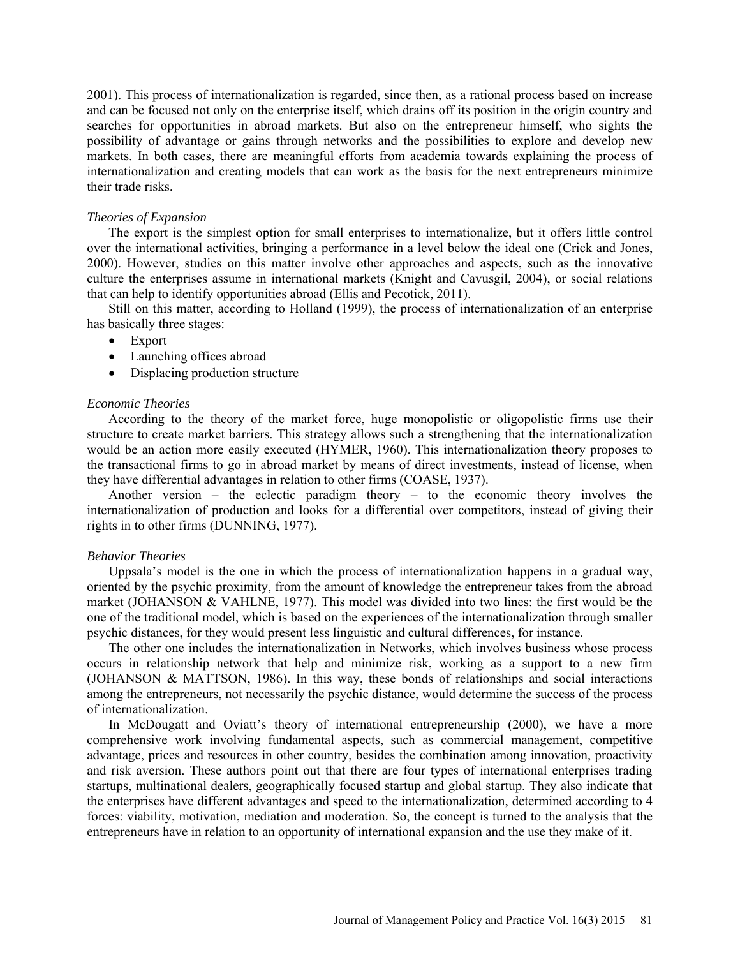2001). This process of internationalization is regarded, since then, as a rational process based on increase and can be focused not only on the enterprise itself, which drains off its position in the origin country and searches for opportunities in abroad markets. But also on the entrepreneur himself, who sights the possibility of advantage or gains through networks and the possibilities to explore and develop new markets. In both cases, there are meaningful efforts from academia towards explaining the process of internationalization and creating models that can work as the basis for the next entrepreneurs minimize their trade risks.

### *Theories of Expansion*

The export is the simplest option for small enterprises to internationalize, but it offers little control over the international activities, bringing a performance in a level below the ideal one (Crick and Jones, 2000). However, studies on this matter involve other approaches and aspects, such as the innovative culture the enterprises assume in international markets (Knight and Cavusgil, 2004), or social relations that can help to identify opportunities abroad (Ellis and Pecotick, 2011).

Still on this matter, according to Holland (1999), the process of internationalization of an enterprise has basically three stages:

- Export
- Launching offices abroad
- Displacing production structure

### *Economic Theories*

According to the theory of the market force, huge monopolistic or oligopolistic firms use their structure to create market barriers. This strategy allows such a strengthening that the internationalization would be an action more easily executed (HYMER, 1960). This internationalization theory proposes to the transactional firms to go in abroad market by means of direct investments, instead of license, when they have differential advantages in relation to other firms (COASE, 1937).

Another version – the eclectic paradigm theory – to the economic theory involves the internationalization of production and looks for a differential over competitors, instead of giving their rights in to other firms (DUNNING, 1977).

#### *Behavior Theories*

Uppsala's model is the one in which the process of internationalization happens in a gradual way, oriented by the psychic proximity, from the amount of knowledge the entrepreneur takes from the abroad market (JOHANSON & VAHLNE, 1977). This model was divided into two lines: the first would be the one of the traditional model, which is based on the experiences of the internationalization through smaller psychic distances, for they would present less linguistic and cultural differences, for instance.

The other one includes the internationalization in Networks, which involves business whose process occurs in relationship network that help and minimize risk, working as a support to a new firm (JOHANSON & MATTSON, 1986). In this way, these bonds of relationships and social interactions among the entrepreneurs, not necessarily the psychic distance, would determine the success of the process of internationalization.

In McDougatt and Oviatt's theory of international entrepreneurship (2000), we have a more comprehensive work involving fundamental aspects, such as commercial management, competitive advantage, prices and resources in other country, besides the combination among innovation, proactivity and risk aversion. These authors point out that there are four types of international enterprises trading startups, multinational dealers, geographically focused startup and global startup. They also indicate that the enterprises have different advantages and speed to the internationalization, determined according to 4 forces: viability, motivation, mediation and moderation. So, the concept is turned to the analysis that the entrepreneurs have in relation to an opportunity of international expansion and the use they make of it.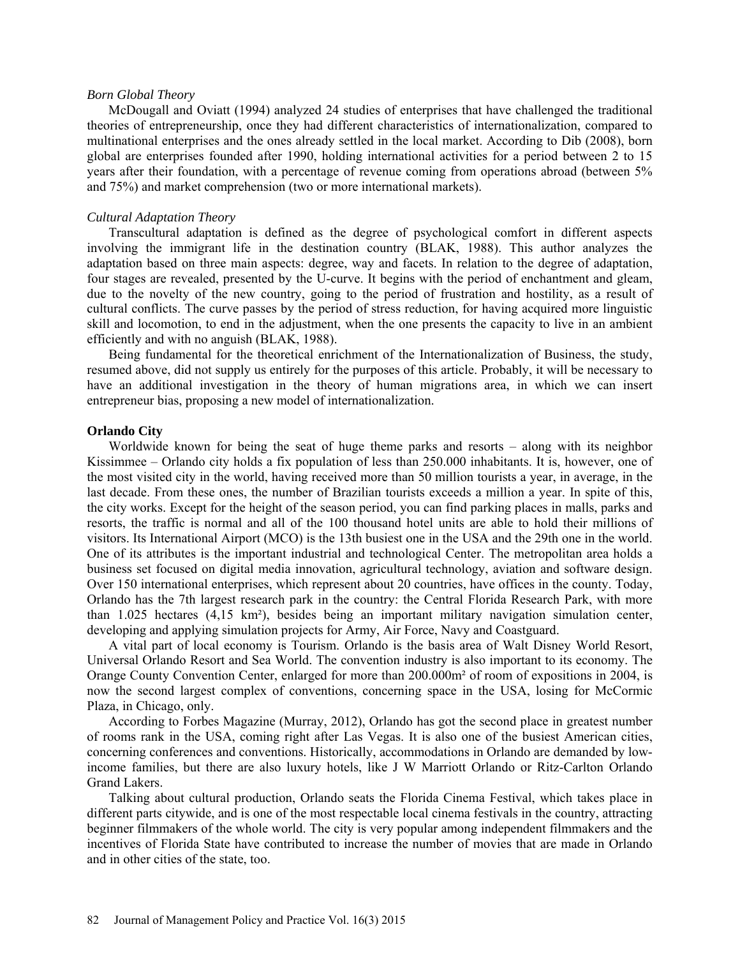#### *Born Global Theory*

McDougall and Oviatt (1994) analyzed 24 studies of enterprises that have challenged the traditional theories of entrepreneurship, once they had different characteristics of internationalization, compared to multinational enterprises and the ones already settled in the local market. According to Dib (2008), born global are enterprises founded after 1990, holding international activities for a period between 2 to 15 years after their foundation, with a percentage of revenue coming from operations abroad (between 5% and 75%) and market comprehension (two or more international markets).

### *Cultural Adaptation Theory*

Transcultural adaptation is defined as the degree of psychological comfort in different aspects involving the immigrant life in the destination country (BLAK, 1988). This author analyzes the adaptation based on three main aspects: degree, way and facets. In relation to the degree of adaptation, four stages are revealed, presented by the U-curve. It begins with the period of enchantment and gleam, due to the novelty of the new country, going to the period of frustration and hostility, as a result of cultural conflicts. The curve passes by the period of stress reduction, for having acquired more linguistic skill and locomotion, to end in the adjustment, when the one presents the capacity to live in an ambient efficiently and with no anguish (BLAK, 1988).

Being fundamental for the theoretical enrichment of the Internationalization of Business, the study, resumed above, did not supply us entirely for the purposes of this article. Probably, it will be necessary to have an additional investigation in the theory of human migrations area, in which we can insert entrepreneur bias, proposing a new model of internationalization.

#### **Orlando City**

Worldwide known for being the seat of huge theme parks and resorts – along with its neighbor Kissimmee – Orlando city holds a fix population of less than 250.000 inhabitants. It is, however, one of the most visited city in the world, having received more than 50 million tourists a year, in average, in the last decade. From these ones, the number of Brazilian tourists exceeds a million a year. In spite of this, the city works. Except for the height of the season period, you can find parking places in malls, parks and resorts, the traffic is normal and all of the 100 thousand hotel units are able to hold their millions of visitors. Its International Airport (MCO) is the 13th busiest one in the USA and the 29th one in the world. One of its attributes is the important industrial and technological Center. The metropolitan area holds a business set focused on digital media innovation, agricultural technology, aviation and software design. Over 150 international enterprises, which represent about 20 countries, have offices in the county. Today, Orlando has the 7th largest research park in the country: the Central Florida Research Park, with more than 1.025 hectares (4,15 km²), besides being an important military navigation simulation center, developing and applying simulation projects for Army, Air Force, Navy and Coastguard.

A vital part of local economy is Tourism. Orlando is the basis area of Walt Disney World Resort, Universal Orlando Resort and Sea World. The convention industry is also important to its economy. The Orange County Convention Center, enlarged for more than 200.000m² of room of expositions in 2004, is now the second largest complex of conventions, concerning space in the USA, losing for McCormic Plaza, in Chicago, only.

According to Forbes Magazine (Murray, 2012), Orlando has got the second place in greatest number of rooms rank in the USA, coming right after Las Vegas. It is also one of the busiest American cities, concerning conferences and conventions. Historically, accommodations in Orlando are demanded by lowincome families, but there are also luxury hotels, like J W Marriott Orlando or Ritz-Carlton Orlando Grand Lakers.

Talking about cultural production, Orlando seats the Florida Cinema Festival, which takes place in different parts citywide, and is one of the most respectable local cinema festivals in the country, attracting beginner filmmakers of the whole world. The city is very popular among independent filmmakers and the incentives of Florida State have contributed to increase the number of movies that are made in Orlando and in other cities of the state, too.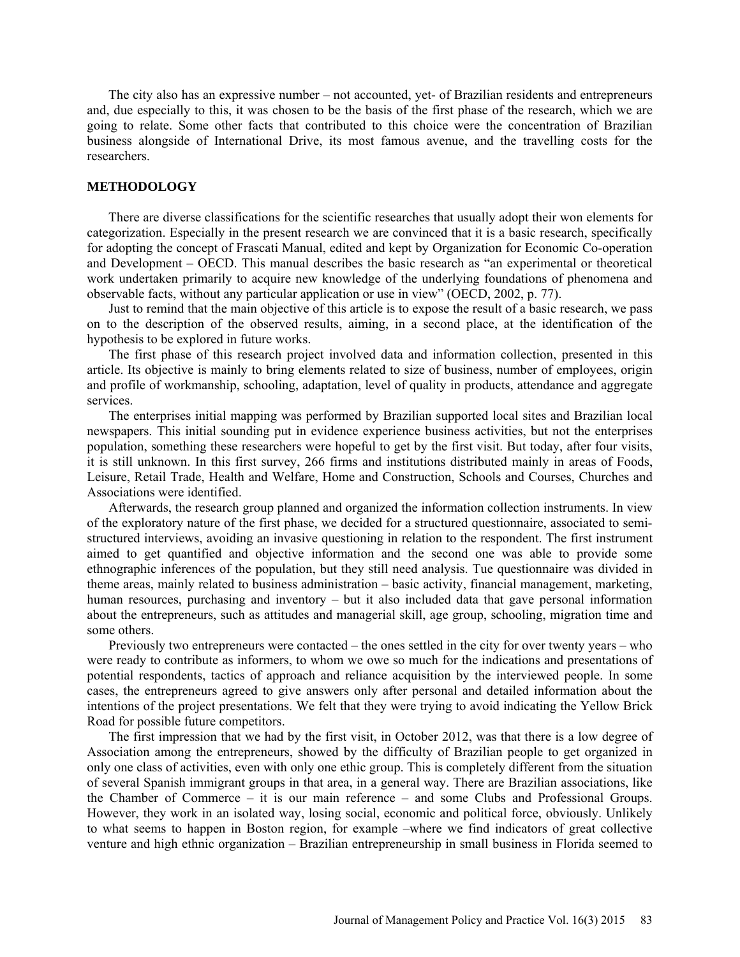The city also has an expressive number – not accounted, yet- of Brazilian residents and entrepreneurs and, due especially to this, it was chosen to be the basis of the first phase of the research, which we are going to relate. Some other facts that contributed to this choice were the concentration of Brazilian business alongside of International Drive, its most famous avenue, and the travelling costs for the researchers.

### **METHODOLOGY**

There are diverse classifications for the scientific researches that usually adopt their won elements for categorization. Especially in the present research we are convinced that it is a basic research, specifically for adopting the concept of Frascati Manual, edited and kept by Organization for Economic Co-operation and Development – OECD. This manual describes the basic research as "an experimental or theoretical work undertaken primarily to acquire new knowledge of the underlying foundations of phenomena and observable facts, without any particular application or use in view" (OECD, 2002, p. 77).

Just to remind that the main objective of this article is to expose the result of a basic research, we pass on to the description of the observed results, aiming, in a second place, at the identification of the hypothesis to be explored in future works.

The first phase of this research project involved data and information collection, presented in this article. Its objective is mainly to bring elements related to size of business, number of employees, origin and profile of workmanship, schooling, adaptation, level of quality in products, attendance and aggregate services.

The enterprises initial mapping was performed by Brazilian supported local sites and Brazilian local newspapers. This initial sounding put in evidence experience business activities, but not the enterprises population, something these researchers were hopeful to get by the first visit. But today, after four visits, it is still unknown. In this first survey, 266 firms and institutions distributed mainly in areas of Foods, Leisure, Retail Trade, Health and Welfare, Home and Construction, Schools and Courses, Churches and Associations were identified.

Afterwards, the research group planned and organized the information collection instruments. In view of the exploratory nature of the first phase, we decided for a structured questionnaire, associated to semistructured interviews, avoiding an invasive questioning in relation to the respondent. The first instrument aimed to get quantified and objective information and the second one was able to provide some ethnographic inferences of the population, but they still need analysis. Tue questionnaire was divided in theme areas, mainly related to business administration – basic activity, financial management, marketing, human resources, purchasing and inventory – but it also included data that gave personal information about the entrepreneurs, such as attitudes and managerial skill, age group, schooling, migration time and some others.

Previously two entrepreneurs were contacted – the ones settled in the city for over twenty years – who were ready to contribute as informers, to whom we owe so much for the indications and presentations of potential respondents, tactics of approach and reliance acquisition by the interviewed people. In some cases, the entrepreneurs agreed to give answers only after personal and detailed information about the intentions of the project presentations. We felt that they were trying to avoid indicating the Yellow Brick Road for possible future competitors.

The first impression that we had by the first visit, in October 2012, was that there is a low degree of Association among the entrepreneurs, showed by the difficulty of Brazilian people to get organized in only one class of activities, even with only one ethic group. This is completely different from the situation of several Spanish immigrant groups in that area, in a general way. There are Brazilian associations, like the Chamber of Commerce – it is our main reference – and some Clubs and Professional Groups. However, they work in an isolated way, losing social, economic and political force, obviously. Unlikely to what seems to happen in Boston region, for example –where we find indicators of great collective venture and high ethnic organization – Brazilian entrepreneurship in small business in Florida seemed to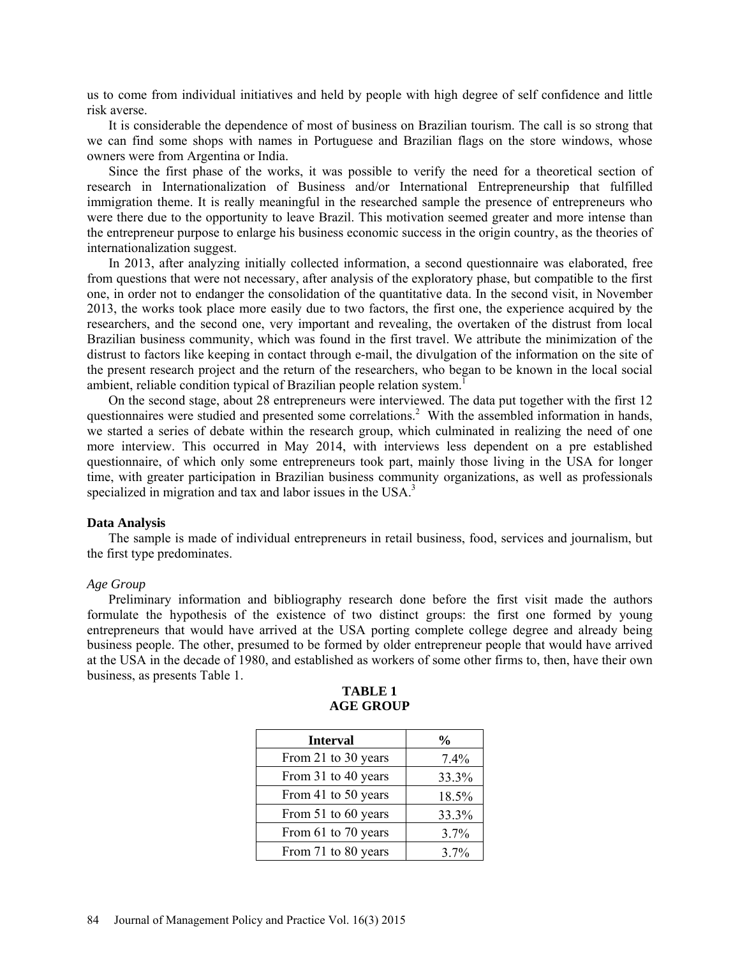us to come from individual initiatives and held by people with high degree of self confidence and little risk averse.

It is considerable the dependence of most of business on Brazilian tourism. The call is so strong that we can find some shops with names in Portuguese and Brazilian flags on the store windows, whose owners were from Argentina or India.

Since the first phase of the works, it was possible to verify the need for a theoretical section of research in Internationalization of Business and/or International Entrepreneurship that fulfilled immigration theme. It is really meaningful in the researched sample the presence of entrepreneurs who were there due to the opportunity to leave Brazil. This motivation seemed greater and more intense than the entrepreneur purpose to enlarge his business economic success in the origin country, as the theories of internationalization suggest.

In 2013, after analyzing initially collected information, a second questionnaire was elaborated, free from questions that were not necessary, after analysis of the exploratory phase, but compatible to the first one, in order not to endanger the consolidation of the quantitative data. In the second visit, in November 2013, the works took place more easily due to two factors, the first one, the experience acquired by the researchers, and the second one, very important and revealing, the overtaken of the distrust from local Brazilian business community, which was found in the first travel. We attribute the minimization of the distrust to factors like keeping in contact through e-mail, the divulgation of the information on the site of the present research project and the return of the researchers, who began to be known in the local social ambient, reliable condition typical of Brazilian people relation system.<sup>1</sup>

On the second stage, about 28 entrepreneurs were interviewed. The data put together with the first 12 questionnaires were studied and presented some correlations.<sup>2</sup> With the assembled information in hands, we started a series of debate within the research group, which culminated in realizing the need of one more interview. This occurred in May 2014, with interviews less dependent on a pre established questionnaire, of which only some entrepreneurs took part, mainly those living in the USA for longer time, with greater participation in Brazilian business community organizations, as well as professionals specialized in migration and tax and labor issues in the USA.<sup>3</sup>

#### **Data Analysis**

The sample is made of individual entrepreneurs in retail business, food, services and journalism, but the first type predominates.

### *Age Group*

Preliminary information and bibliography research done before the first visit made the authors formulate the hypothesis of the existence of two distinct groups: the first one formed by young entrepreneurs that would have arrived at the USA porting complete college degree and already being business people. The other, presumed to be formed by older entrepreneur people that would have arrived at the USA in the decade of 1980, and established as workers of some other firms to, then, have their own business, as presents Table 1.

| <b>Interval</b>     | $\frac{0}{0}$ |
|---------------------|---------------|
| From 21 to 30 years | 7.4%          |
| From 31 to 40 years | 33.3%         |
| From 41 to 50 years | 18.5%         |
| From 51 to 60 years | 33.3%         |
| From 61 to 70 years | 3.7%          |
| From 71 to 80 years | 3.7%          |

### **TABLE 1 AGE GROUP**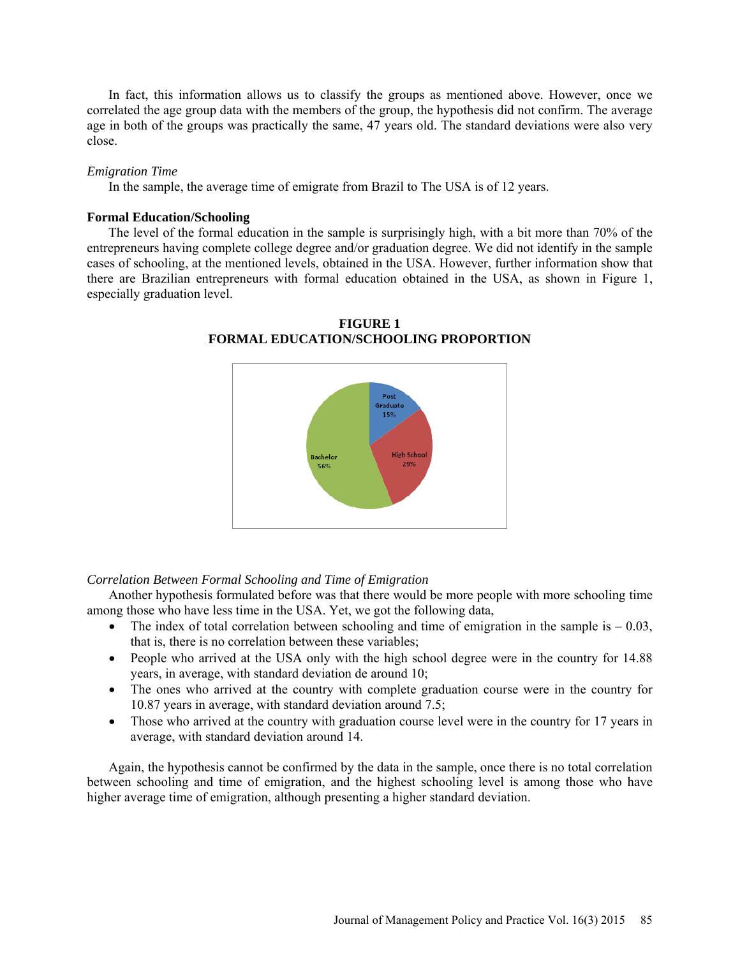In fact, this information allows us to classify the groups as mentioned above. However, once we correlated the age group data with the members of the group, the hypothesis did not confirm. The average age in both of the groups was practically the same, 47 years old. The standard deviations were also very close.

### *Emigration Time*

In the sample, the average time of emigrate from Brazil to The USA is of 12 years.

### **Formal Education/Schooling**

The level of the formal education in the sample is surprisingly high, with a bit more than 70% of the entrepreneurs having complete college degree and/or graduation degree. We did not identify in the sample cases of schooling, at the mentioned levels, obtained in the USA. However, further information show that there are Brazilian entrepreneurs with formal education obtained in the USA, as shown in Figure 1, especially graduation level.



**FIGURE 1 FORMAL EDUCATION/SCHOOLING PROPORTION**

*Correlation Between Formal Schooling and Time of Emigration*

Another hypothesis formulated before was that there would be more people with more schooling time among those who have less time in the USA. Yet, we got the following data,

- The index of total correlation between schooling and time of emigration in the sample is  $-0.03$ , that is, there is no correlation between these variables;
- People who arrived at the USA only with the high school degree were in the country for 14.88 years, in average, with standard deviation de around 10;
- The ones who arrived at the country with complete graduation course were in the country for 10.87 years in average, with standard deviation around 7.5;
- Those who arrived at the country with graduation course level were in the country for 17 years in average, with standard deviation around 14.

Again, the hypothesis cannot be confirmed by the data in the sample, once there is no total correlation between schooling and time of emigration, and the highest schooling level is among those who have higher average time of emigration, although presenting a higher standard deviation.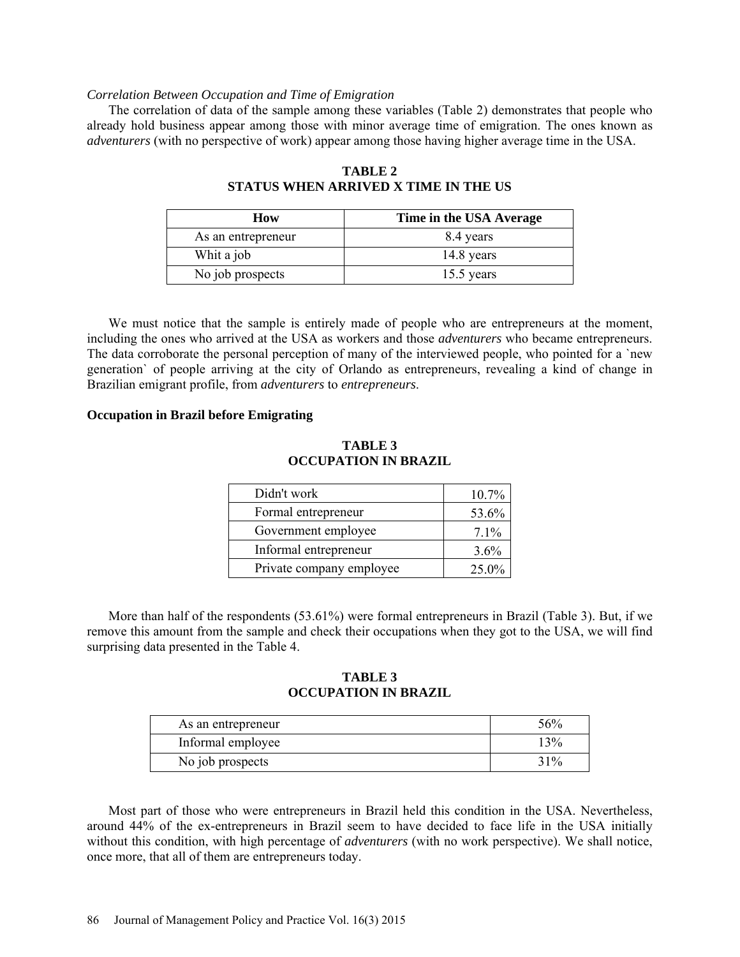### *Correlation Between Occupation and Time of Emigration*

The correlation of data of the sample among these variables (Table 2) demonstrates that people who already hold business appear among those with minor average time of emigration. The ones known as *adventurers* (with no perspective of work) appear among those having higher average time in the USA.

| How                | Time in the USA Average |
|--------------------|-------------------------|
| As an entrepreneur | 8.4 years               |
| Whit a job         | 14.8 years              |
| No job prospects   | $15.5$ years            |

# **TABLE 2 STATUS WHEN ARRIVED X TIME IN THE US**

We must notice that the sample is entirely made of people who are entrepreneurs at the moment, including the ones who arrived at the USA as workers and those *adventurers* who became entrepreneurs. The data corroborate the personal perception of many of the interviewed people, who pointed for a 'new generation` of people arriving at the city of Orlando as entrepreneurs, revealing a kind of change in Brazilian emigrant profile, from *adventurers* to *entrepreneurs*.

### **Occupation in Brazil before Emigrating**

# **TABLE 3 OCCUPATION IN BRAZIL**

| Didn't work              | 10.7%   |
|--------------------------|---------|
| Formal entrepreneur      | 53.6%   |
| Government employee      | $7.1\%$ |
| Informal entrepreneur    | 3.6%    |
| Private company employee | 25.0%   |

More than half of the respondents (53.61%) were formal entrepreneurs in Brazil (Table 3). But, if we remove this amount from the sample and check their occupations when they got to the USA, we will find surprising data presented in the Table 4.

### **TABLE 3 OCCUPATION IN BRAZIL**

| As an entrepreneur | 56%   |
|--------------------|-------|
| Informal employee  | $3\%$ |
| No job prospects   | 31%   |

Most part of those who were entrepreneurs in Brazil held this condition in the USA. Nevertheless, around 44% of the ex-entrepreneurs in Brazil seem to have decided to face life in the USA initially without this condition, with high percentage of *adventurers* (with no work perspective). We shall notice, once more, that all of them are entrepreneurs today.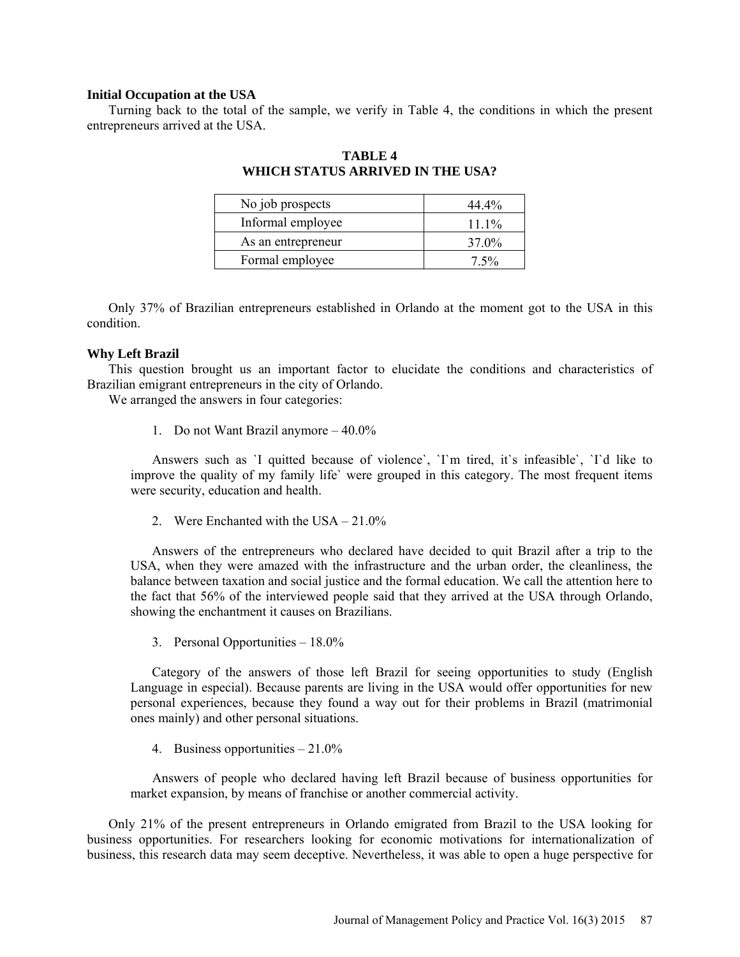### **Initial Occupation at the USA**

Turning back to the total of the sample, we verify in Table 4, the conditions in which the present entrepreneurs arrived at the USA.

| No job prospects   | 44.4%   |
|--------------------|---------|
| Informal employee  | $111\%$ |
| As an entrepreneur | 37.0%   |
| Formal employee    | $7.5\%$ |

**TABLE 4 WHICH STATUS ARRIVED IN THE USA?**

Only 37% of Brazilian entrepreneurs established in Orlando at the moment got to the USA in this condition.

### **Why Left Brazil**

This question brought us an important factor to elucidate the conditions and characteristics of Brazilian emigrant entrepreneurs in the city of Orlando.

We arranged the answers in four categories:

1. Do not Want Brazil anymore – 40.0%

Answers such as `I quitted because of violence`, `I`m tired, it`s infeasible`, `I`d like to improve the quality of my family life` were grouped in this category. The most frequent items were security, education and health.

2. Were Enchanted with the USA – 21.0%

Answers of the entrepreneurs who declared have decided to quit Brazil after a trip to the USA, when they were amazed with the infrastructure and the urban order, the cleanliness, the balance between taxation and social justice and the formal education. We call the attention here to the fact that 56% of the interviewed people said that they arrived at the USA through Orlando, showing the enchantment it causes on Brazilians.

3. Personal Opportunities – 18.0%

Category of the answers of those left Brazil for seeing opportunities to study (English Language in especial). Because parents are living in the USA would offer opportunities for new personal experiences, because they found a way out for their problems in Brazil (matrimonial ones mainly) and other personal situations.

4. Business opportunities – 21.0%

Answers of people who declared having left Brazil because of business opportunities for market expansion, by means of franchise or another commercial activity.

Only 21% of the present entrepreneurs in Orlando emigrated from Brazil to the USA looking for business opportunities. For researchers looking for economic motivations for internationalization of business, this research data may seem deceptive. Nevertheless, it was able to open a huge perspective for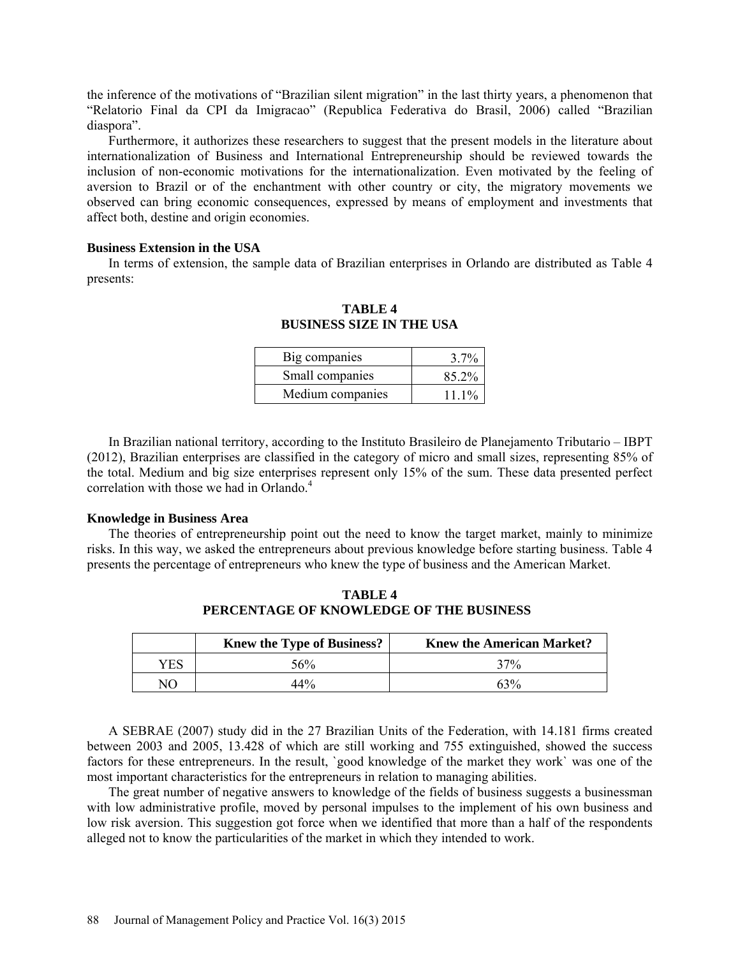the inference of the motivations of "Brazilian silent migration" in the last thirty years, a phenomenon that "Relatorio Final da CPI da Imigracao" (Republica Federativa do Brasil, 2006) called "Brazilian diaspora".

Furthermore, it authorizes these researchers to suggest that the present models in the literature about internationalization of Business and International Entrepreneurship should be reviewed towards the inclusion of non-economic motivations for the internationalization. Even motivated by the feeling of aversion to Brazil or of the enchantment with other country or city, the migratory movements we observed can bring economic consequences, expressed by means of employment and investments that affect both, destine and origin economies.

### **Business Extension in the USA**

In terms of extension, the sample data of Brazilian enterprises in Orlando are distributed as Table 4 presents:

| Big companies    | $3.7\%$  |
|------------------|----------|
| Small companies  | 85.2%    |
| Medium companies | $11.1\%$ |

**TABLE 4 BUSINESS SIZE IN THE USA**

In Brazilian national territory, according to the Instituto Brasileiro de Planejamento Tributario – IBPT (2012), Brazilian enterprises are classified in the category of micro and small sizes, representing 85% of the total. Medium and big size enterprises represent only 15% of the sum. These data presented perfect correlation with those we had in Orlando.<sup>4</sup>

### **Knowledge in Business Area**

The theories of entrepreneurship point out the need to know the target market, mainly to minimize risks. In this way, we asked the entrepreneurs about previous knowledge before starting business. Table 4 presents the percentage of entrepreneurs who knew the type of business and the American Market.

|     | <b>Knew the Type of Business?</b> | <b>Knew the American Market?</b> |
|-----|-----------------------------------|----------------------------------|
| YES | 56%                               | 37%                              |
| N() | 44%                               | $63\%$                           |

**TABLE 4 PERCENTAGE OF KNOWLEDGE OF THE BUSINESS**

A SEBRAE (2007) study did in the 27 Brazilian Units of the Federation, with 14.181 firms created between 2003 and 2005, 13.428 of which are still working and 755 extinguished, showed the success factors for these entrepreneurs. In the result, `good knowledge of the market they work` was one of the most important characteristics for the entrepreneurs in relation to managing abilities.

The great number of negative answers to knowledge of the fields of business suggests a businessman with low administrative profile, moved by personal impulses to the implement of his own business and low risk aversion. This suggestion got force when we identified that more than a half of the respondents alleged not to know the particularities of the market in which they intended to work.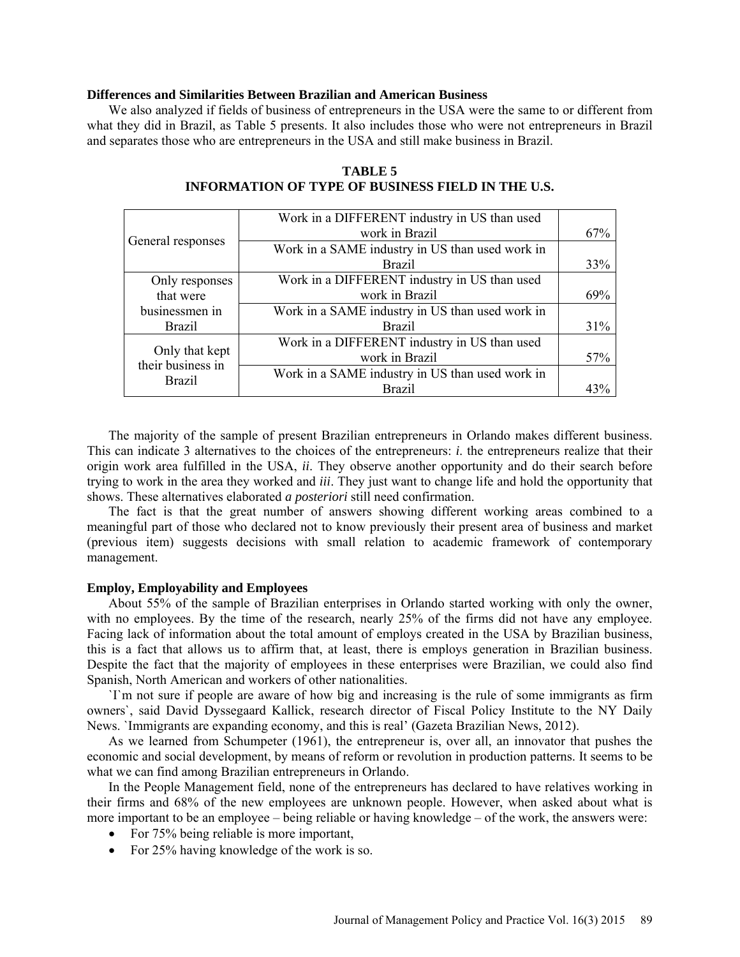#### **Differences and Similarities Between Brazilian and American Business**

We also analyzed if fields of business of entrepreneurs in the USA were the same to or different from what they did in Brazil, as Table 5 presents. It also includes those who were not entrepreneurs in Brazil and separates those who are entrepreneurs in the USA and still make business in Brazil.

|                                     | Work in a DIFFERENT industry in US than used    |     |
|-------------------------------------|-------------------------------------------------|-----|
|                                     | work in Brazil                                  | 67% |
| General responses                   | Work in a SAME industry in US than used work in |     |
|                                     | <b>Brazil</b>                                   | 33% |
| Only responses                      | Work in a DIFFERENT industry in US than used    |     |
| that were                           | work in Brazil                                  | 69% |
| businessmen in                      | Work in a SAME industry in US than used work in |     |
| <b>Brazil</b>                       | <b>Brazil</b>                                   | 31% |
|                                     | Work in a DIFFERENT industry in US than used    |     |
| Only that kept<br>their business in | work in Brazil                                  | 57% |
| <b>Brazil</b>                       | Work in a SAME industry in US than used work in |     |
|                                     | <b>Brazil</b>                                   | 43% |

## **TABLE 5 INFORMATION OF TYPE OF BUSINESS FIELD IN THE U.S.**

The majority of the sample of present Brazilian entrepreneurs in Orlando makes different business. This can indicate 3 alternatives to the choices of the entrepreneurs: *i*. the entrepreneurs realize that their origin work area fulfilled in the USA, *ii*. They observe another opportunity and do their search before trying to work in the area they worked and *iii*. They just want to change life and hold the opportunity that shows. These alternatives elaborated *a posteriori* still need confirmation.

The fact is that the great number of answers showing different working areas combined to a meaningful part of those who declared not to know previously their present area of business and market (previous item) suggests decisions with small relation to academic framework of contemporary management.

### **Employ, Employability and Employees**

About 55% of the sample of Brazilian enterprises in Orlando started working with only the owner, with no employees. By the time of the research, nearly 25% of the firms did not have any employee. Facing lack of information about the total amount of employs created in the USA by Brazilian business, this is a fact that allows us to affirm that, at least, there is employs generation in Brazilian business. Despite the fact that the majority of employees in these enterprises were Brazilian, we could also find Spanish, North American and workers of other nationalities.

`I`m not sure if people are aware of how big and increasing is the rule of some immigrants as firm owners`, said David Dyssegaard Kallick, research director of Fiscal Policy Institute to the NY Daily News. `Immigrants are expanding economy, and this is real' (Gazeta Brazilian News, 2012).

As we learned from Schumpeter (1961), the entrepreneur is, over all, an innovator that pushes the economic and social development, by means of reform or revolution in production patterns. It seems to be what we can find among Brazilian entrepreneurs in Orlando.

In the People Management field, none of the entrepreneurs has declared to have relatives working in their firms and 68% of the new employees are unknown people. However, when asked about what is more important to be an employee – being reliable or having knowledge – of the work, the answers were:

- For 75% being reliable is more important,
- For 25% having knowledge of the work is so.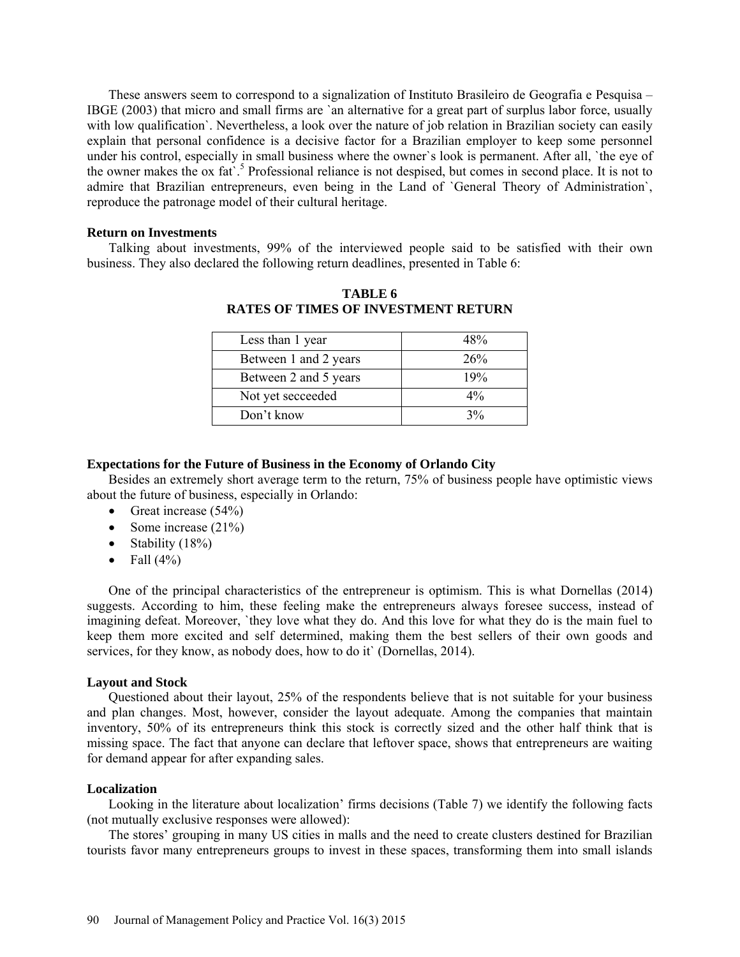These answers seem to correspond to a signalization of Instituto Brasileiro de Geografia e Pesquisa – IBGE (2003) that micro and small firms are `an alternative for a great part of surplus labor force, usually with low qualification`. Nevertheless, a look over the nature of job relation in Brazilian society can easily explain that personal confidence is a decisive factor for a Brazilian employer to keep some personnel under his control, especially in small business where the owner`s look is permanent. After all, `the eye of the owner makes the ox fat.<sup>5</sup> Professional reliance is not despised, but comes in second place. It is not to admire that Brazilian entrepreneurs, even being in the Land of `General Theory of Administration`, reproduce the patronage model of their cultural heritage.

#### **Return on Investments**

Talking about investments, 99% of the interviewed people said to be satisfied with their own business. They also declared the following return deadlines, presented in Table 6:

| Less than 1 year      | 48%   |
|-----------------------|-------|
| Between 1 and 2 years | 26%   |
| Between 2 and 5 years | 19%   |
| Not yet secceeded     | $4\%$ |
| Don't know            | $3\%$ |

**TABLE 6 RATES OF TIMES OF INVESTMENT RETURN**

#### **Expectations for the Future of Business in the Economy of Orlando City**

Besides an extremely short average term to the return, 75% of business people have optimistic views about the future of business, especially in Orlando:

- Great increase  $(54\%)$
- Some increase (21%)
- Stability  $(18\%)$
- Fall  $(4\%)$

One of the principal characteristics of the entrepreneur is optimism. This is what Dornellas (2014) suggests. According to him, these feeling make the entrepreneurs always foresee success, instead of imagining defeat. Moreover, `they love what they do. And this love for what they do is the main fuel to keep them more excited and self determined, making them the best sellers of their own goods and services, for they know, as nobody does, how to do it` (Dornellas, 2014).

#### **Layout and Stock**

Questioned about their layout, 25% of the respondents believe that is not suitable for your business and plan changes. Most, however, consider the layout adequate. Among the companies that maintain inventory, 50% of its entrepreneurs think this stock is correctly sized and the other half think that is missing space. The fact that anyone can declare that leftover space, shows that entrepreneurs are waiting for demand appear for after expanding sales.

### **Localization**

Looking in the literature about localization' firms decisions (Table 7) we identify the following facts (not mutually exclusive responses were allowed):

The stores' grouping in many US cities in malls and the need to create clusters destined for Brazilian tourists favor many entrepreneurs groups to invest in these spaces, transforming them into small islands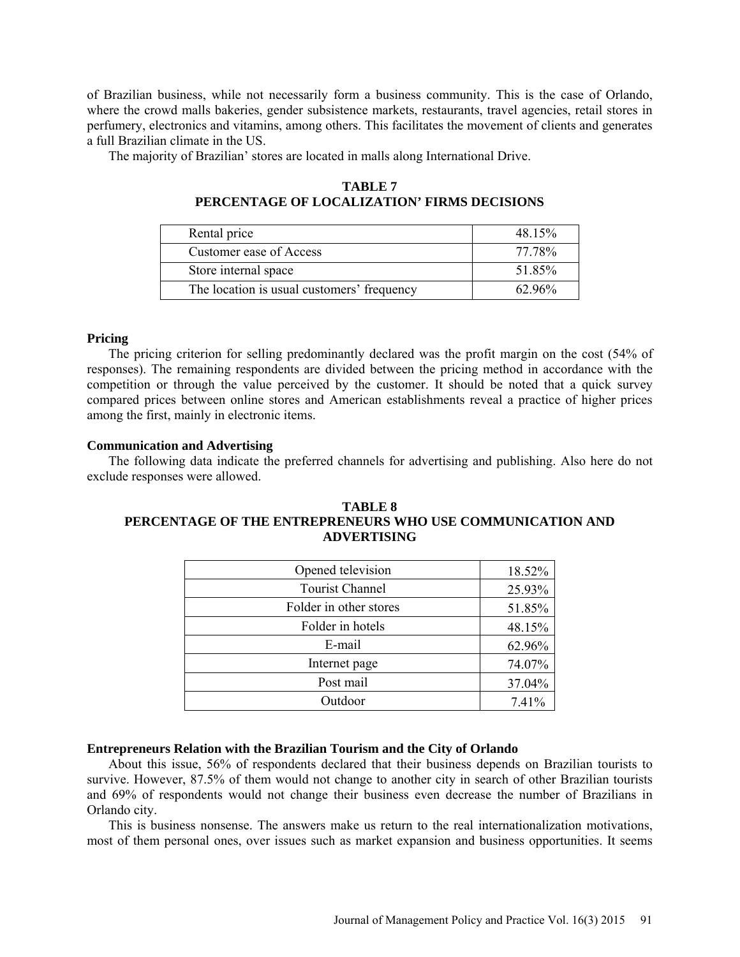of Brazilian business, while not necessarily form a business community. This is the case of Orlando, where the crowd malls bakeries, gender subsistence markets, restaurants, travel agencies, retail stores in perfumery, electronics and vitamins, among others. This facilitates the movement of clients and generates a full Brazilian climate in the US.

The majority of Brazilian' stores are located in malls along International Drive.

| Rental price                               | 48.15% |
|--------------------------------------------|--------|
| Customer ease of Access                    | 77.78% |
| Store internal space                       | 51.85% |
| The location is usual customers' frequency | 62.96% |

**TABLE 7 PERCENTAGE OF LOCALIZATION' FIRMS DECISIONS**

### **Pricing**

The pricing criterion for selling predominantly declared was the profit margin on the cost (54% of responses). The remaining respondents are divided between the pricing method in accordance with the competition or through the value perceived by the customer. It should be noted that a quick survey compared prices between online stores and American establishments reveal a practice of higher prices among the first, mainly in electronic items.

### **Communication and Advertising**

The following data indicate the preferred channels for advertising and publishing. Also here do not exclude responses were allowed.

### **TABLE 8 PERCENTAGE OF THE ENTREPRENEURS WHO USE COMMUNICATION AND ADVERTISING**

| Opened television      | 18.52% |
|------------------------|--------|
| <b>Tourist Channel</b> | 25.93% |
| Folder in other stores | 51.85% |
| Folder in hotels       | 48.15% |
| E-mail                 | 62.96% |
| Internet page          | 74.07% |
| Post mail              | 37.04% |
| Outdoor                | 7.41%  |

#### **Entrepreneurs Relation with the Brazilian Tourism and the City of Orlando**

About this issue, 56% of respondents declared that their business depends on Brazilian tourists to survive. However, 87.5% of them would not change to another city in search of other Brazilian tourists and 69% of respondents would not change their business even decrease the number of Brazilians in Orlando city.

This is business nonsense. The answers make us return to the real internationalization motivations, most of them personal ones, over issues such as market expansion and business opportunities. It seems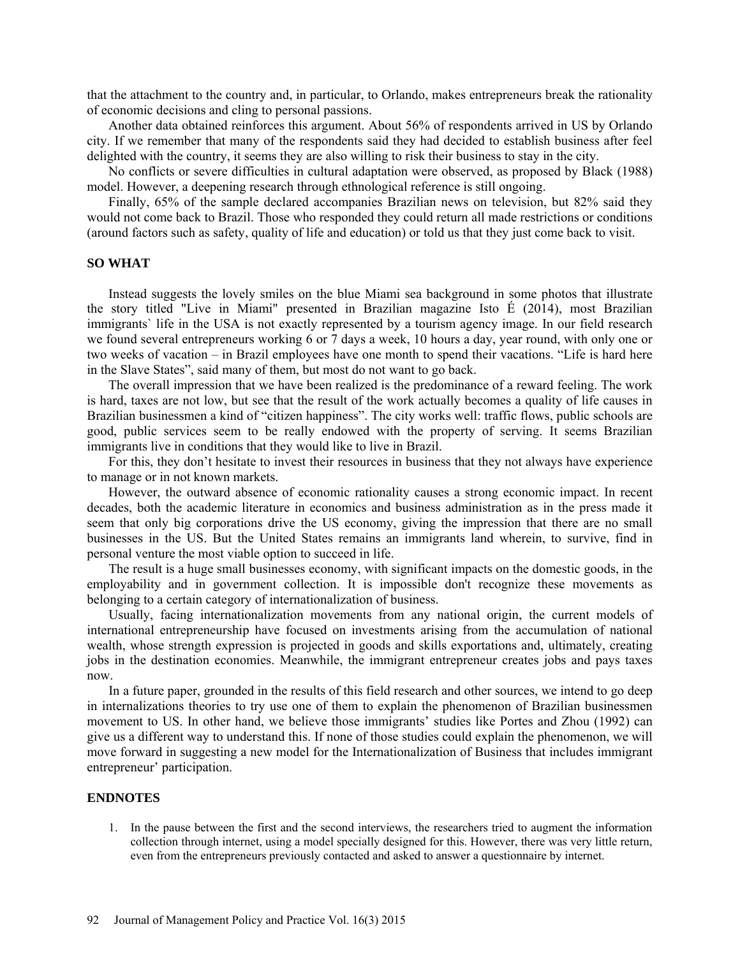that the attachment to the country and, in particular, to Orlando, makes entrepreneurs break the rationality of economic decisions and cling to personal passions.

Another data obtained reinforces this argument. About 56% of respondents arrived in US by Orlando city. If we remember that many of the respondents said they had decided to establish business after feel delighted with the country, it seems they are also willing to risk their business to stay in the city.

No conflicts or severe difficulties in cultural adaptation were observed, as proposed by Black (1988) model. However, a deepening research through ethnological reference is still ongoing.

Finally, 65% of the sample declared accompanies Brazilian news on television, but 82% said they would not come back to Brazil. Those who responded they could return all made restrictions or conditions (around factors such as safety, quality of life and education) or told us that they just come back to visit.

### **SO WHAT**

Instead suggests the lovely smiles on the blue Miami sea background in some photos that illustrate the story titled "Live in Miami" presented in Brazilian magazine Isto É (2014), most Brazilian immigrants` life in the USA is not exactly represented by a tourism agency image. In our field research we found several entrepreneurs working 6 or 7 days a week, 10 hours a day, year round, with only one or two weeks of vacation – in Brazil employees have one month to spend their vacations. "Life is hard here in the Slave States", said many of them, but most do not want to go back.

The overall impression that we have been realized is the predominance of a reward feeling. The work is hard, taxes are not low, but see that the result of the work actually becomes a quality of life causes in Brazilian businessmen a kind of "citizen happiness". The city works well: traffic flows, public schools are good, public services seem to be really endowed with the property of serving. It seems Brazilian immigrants live in conditions that they would like to live in Brazil.

For this, they don't hesitate to invest their resources in business that they not always have experience to manage or in not known markets.

However, the outward absence of economic rationality causes a strong economic impact. In recent decades, both the academic literature in economics and business administration as in the press made it seem that only big corporations drive the US economy, giving the impression that there are no small businesses in the US. But the United States remains an immigrants land wherein, to survive, find in personal venture the most viable option to succeed in life.

The result is a huge small businesses economy, with significant impacts on the domestic goods, in the employability and in government collection. It is impossible don't recognize these movements as belonging to a certain category of internationalization of business.

Usually, facing internationalization movements from any national origin, the current models of international entrepreneurship have focused on investments arising from the accumulation of national wealth, whose strength expression is projected in goods and skills exportations and, ultimately, creating jobs in the destination economies. Meanwhile, the immigrant entrepreneur creates jobs and pays taxes now.

In a future paper, grounded in the results of this field research and other sources, we intend to go deep in internalizations theories to try use one of them to explain the phenomenon of Brazilian businessmen movement to US. In other hand, we believe those immigrants' studies like Portes and Zhou (1992) can give us a different way to understand this. If none of those studies could explain the phenomenon, we will move forward in suggesting a new model for the Internationalization of Business that includes immigrant entrepreneur' participation.

### **ENDNOTES**

1. In the pause between the first and the second interviews, the researchers tried to augment the information collection through internet, using a model specially designed for this. However, there was very little return, even from the entrepreneurs previously contacted and asked to answer a questionnaire by internet.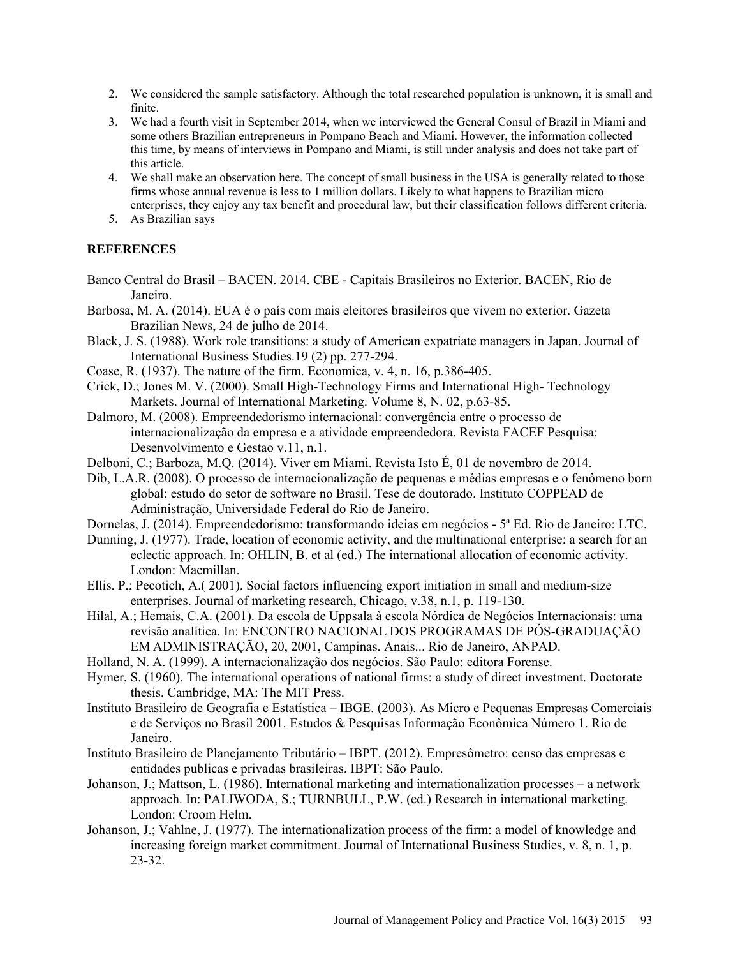- 2. We considered the sample satisfactory. Although the total researched population is unknown, it is small and finite.
- 3. We had a fourth visit in September 2014, when we interviewed the General Consul of Brazil in Miami and some others Brazilian entrepreneurs in Pompano Beach and Miami. However, the information collected this time, by means of interviews in Pompano and Miami, is still under analysis and does not take part of this article.
- 4. We shall make an observation here. The concept of small business in the USA is generally related to those firms whose annual revenue is less to 1 million dollars. Likely to what happens to Brazilian micro enterprises, they enjoy any tax benefit and procedural law, but their classification follows different criteria.
- 5. As Brazilian says

# **REFERENCES**

- Banco Central do Brasil BACEN. 2014. CBE Capitais Brasileiros no Exterior. BACEN, Rio de Janeiro.
- Barbosa, M. A. (2014). EUA é o país com mais eleitores brasileiros que vivem no exterior. Gazeta Brazilian News, 24 de julho de 2014.
- Black, J. S. (1988). Work role transitions: a study of American expatriate managers in Japan. Journal of International Business Studies.19 (2) pp. 277-294.
- Coase, R. (1937). The nature of the firm. Economica, v. 4, n. 16, p.386-405.
- Crick, D.; Jones M. V. (2000). Small High-Technology Firms and International High- Technology Markets. Journal of International Marketing. Volume 8, N. 02, p.63-85.
- Dalmoro, M. (2008). Empreendedorismo internacional: convergência entre o processo de internacionalização da empresa e a atividade empreendedora. Revista FACEF Pesquisa: Desenvolvimento e Gestao v.11, n.1.
- Delboni, C.; Barboza, M.Q. (2014). Viver em Miami. Revista Isto É, 01 de novembro de 2014.
- Dib, L.A.R. (2008). O processo de internacionalização de pequenas e médias empresas e o fenômeno born global: estudo do setor de software no Brasil. Tese de doutorado. Instituto COPPEAD de Administração, Universidade Federal do Rio de Janeiro.
- Dornelas, J. (2014). [Empreendedorismo: transformando ideias em negócios 5ª Ed. Rio de Janeiro: LTC.](http://busca.livrariasaraiva.com.br/search?p=R&srid=S11-USESD02&lbc=saraiva&w=dornelas&url=http%3a%2f%2fwww.livrariasaraiva.com.br%2fproduto%2f5936436&rk=1&uid=119567074&sid=2&ts=ajax&rsc=tLuqfkeeKncn3yzB&method=and&isort=score&view=grid)
- Dunning, J. (1977). Trade, location of economic activity, and the multinational enterprise: a search for an eclectic approach. In: OHLIN, B. et al (ed.) The international allocation of economic activity. London: Macmillan.
- Ellis. P.; Pecotich, A.( 2001). Social factors influencing export initiation in small and medium-size enterprises. Journal of marketing research, Chicago, v.38, n.1, p. 119-130.
- Hilal, A.; Hemais, C.A. (2001). Da escola de Uppsala à escola Nórdica de Negócios Internacionais: uma revisão analítica. In: ENCONTRO NACIONAL DOS PROGRAMAS DE PÓS-GRADUAÇÃO EM ADMINISTRAÇÃO, 20, 2001, Campinas. Anais... Rio de Janeiro, ANPAD.
- Holland, N. A. (1999). A internacionalização dos negócios. São Paulo: editora Forense.
- Hymer, S. (1960). The international operations of national firms: a study of direct investment. Doctorate thesis. Cambridge, MA: The MIT Press.
- Instituto Brasileiro de Geografia e Estatística IBGE. (2003). As Micro e Pequenas Empresas Comerciais e de Serviços no Brasil 2001. Estudos & Pesquisas Informação Econômica Número 1. Rio de Janeiro.
- Instituto Brasileiro de Planejamento Tributário IBPT. (2012). Empresômetro: censo das empresas e entidades publicas e privadas brasileiras. IBPT: São Paulo.
- Johanson, J.; Mattson, L. (1986). International marketing and internationalization processes a network approach. In: PALIWODA, S.; TURNBULL, P.W. (ed.) Research in international marketing. London: Croom Helm.
- Johanson, J.; Vahlne, J. (1977). The internationalization process of the firm: a model of knowledge and increasing foreign market commitment. Journal of International Business Studies, v. 8, n. 1, p. 23-32.